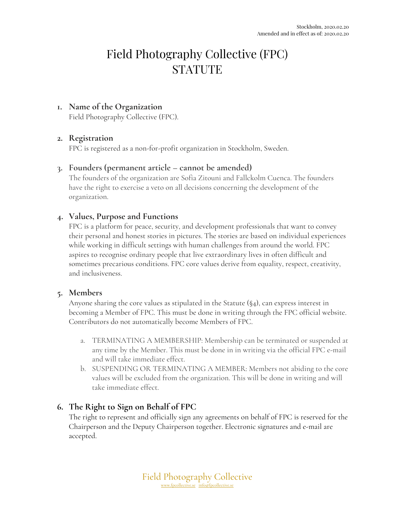# Field Photography Collective (FPC) **STATUTE**

#### **1. Name of the Organization**

Field Photography Collective (FPC).

## **2. Registration**

FPC is registered as a non-for-profit organization in Stockholm, Sweden.

## **3. Founders (permanent article – cannot be amended)**

The founders of the organization are Sofia Zitouni and Fallckolm Cuenca. The founders have the right to exercise a veto on all decisions concerning the development of the organization.

## **4. Values, Purpose and Functions**

FPC is a platform for peace, security, and development professionals that want to convey their personal and honest stories in pictures. The stories are based on individual experiences while working in difficult settings with human challenges from around the world. FPC aspires to recognise ordinary people that live extraordinary lives in often difficult and sometimes precarious conditions. FPC core values derive from equality, respect, creativity, and inclusiveness.

#### **5. Members**

Anyone sharing the core values as stipulated in the Statute  $(\S_4)$ , can express interest in becoming a Member of FPC. This must be done in writing through the FPC official website. Contributors do not automatically become Members of FPC.

- a. TERMINATING A MEMBERSHIP: Membership can be terminated or suspended at any time by the Member. This must be done in in writing via the official FPC e-mail and will take immediate effect.
- b. SUSPENDING OR TERMINATING A MEMBER: Members not abiding to the core values will be excluded from the organization. This will be done in writing and will take immediate effect.

## **6. The Right to Sign on Behalf of FPC**

The right to represent and officially sign any agreements on behalf of FPC is reserved for the Chairperson and the Deputy Chairperson together. Electronic signatures and e-mail are accepted.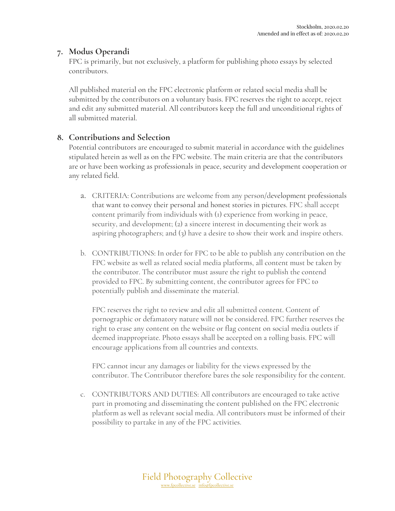# **7. Modus Operandi**

FPC is primarily, but not exclusively, a platform for publishing photo essays by selected contributors.

All published material on the FPC electronic platform or related social media shall be submitted by the contributors on a voluntary basis. FPC reserves the right to accept, reject and edit any submitted material. All contributors keep the full and unconditional rights of all submitted material.

# **8. Contributions and Selection**

Potential contributors are encouraged to submit material in accordance with the guidelines stipulated herein as well as on the FPC website. The main criteria are that the contributors are or have been working as professionals in peace, security and development cooperation or any related field.

- a. CRITERIA: Contributions are welcome from any person/development professionals that want to convey their personal and honest stories in pictures. FPC shall accept content primarily from individuals with (1) experience from working in peace, security, and development; (2) a sincere interest in documenting their work as aspiring photographers; and (3) have a desire to show their work and inspire others.
- b. CONTRIBUTIONS: In order for FPC to be able to publish any contribution on the FPC website as well as related social media platforms, all content must be taken by the contributor. The contributor must assure the right to publish the contend provided to FPC. By submitting content, the contributor agrees for FPC to potentially publish and disseminate the material.

FPC reserves the right to review and edit all submitted content. Content of pornographic or defamatory nature will not be considered. FPC further reserves the right to erase any content on the website or flag content on social media outlets if deemed inappropriate. Photo essays shall be accepted on a rolling basis. FPC will encourage applications from all countries and contexts.

FPC cannot incur any damages or liability for the views expressed by the contributor. The Contributor therefore bares the sole responsibility for the content.

c. CONTRIBUTORS AND DUTIES: All contributors are encouraged to take active part in promoting and disseminating the content published on the FPC electronic platform as well as relevant social media. All contributors must be informed of their possibility to partake in any of the FPC activities.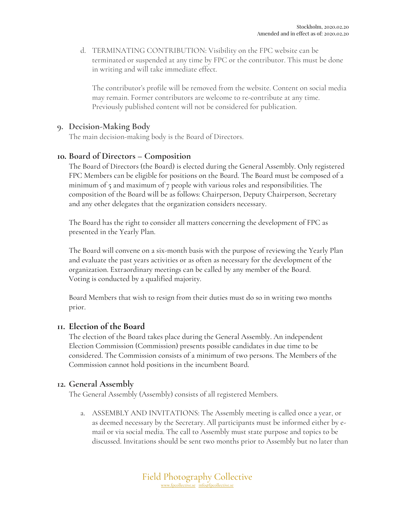d. TERMINATING CONTRIBUTION: Visibility on the FPC website can be terminated or suspended at any time by FPC or the contributor. This must be done in writing and will take immediate effect.

The contributor's profile will be removed from the website. Content on social media may remain. Former contributors are welcome to re-contribute at any time. Previously published content will not be considered for publication.

#### **9. Decision-Making Body**

The main decision-making body is the Board of Directors.

#### **10. Board of Directors – Composition**

The Board of Directors (the Board) is elected during the General Assembly. Only registered FPC Members can be eligible for positions on the Board. The Board must be composed of a minimum of  $\zeta$  and maximum of  $\zeta$  people with various roles and responsibilities. The composition of the Board will be as follows: Chairperson, Deputy Chairperson, Secretary and any other delegates that the organization considers necessary.

The Board has the right to consider all matters concerning the development of FPC as presented in the Yearly Plan.

The Board will convene on a six-month basis with the purpose of reviewing the Yearly Plan and evaluate the past years activities or as often as necessary for the development of the organization. Extraordinary meetings can be called by any member of the Board. Voting is conducted by a qualified majority.

Board Members that wish to resign from their duties must do so in writing two months prior.

#### **11. Election of the Board**

The election of the Board takes place during the General Assembly. An independent Election Commission (Commission) presents possible candidates in due time to be considered. The Commission consists of a minimum of two persons. The Members of the Commission cannot hold positions in the incumbent Board.

#### **12. General Assembly**

The General Assembly (Assembly) consists of all registered Members.

a. ASSEMBLY AND INVITATIONS: The Assembly meeting is called once a year, or as deemed necessary by the Secretary. All participants must be informed either by email or via social media. The call to Assembly must state purpose and topics to be discussed. Invitations should be sent two months prior to Assembly but no later than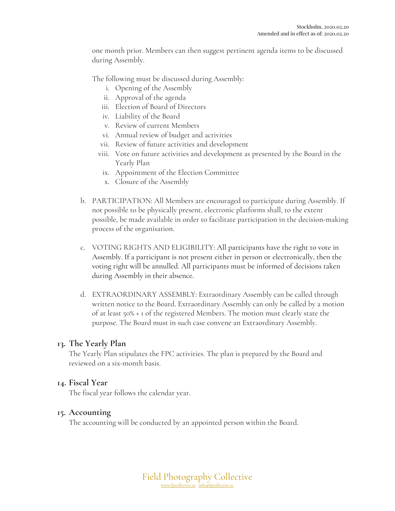one month prior. Members can then suggest pertinent agenda items to be discussed during Assembly.

The following must be discussed during Assembly:

- i. Opening of the Assembly
- ii. Approval of the agenda
- iii. Election of Board of Directors
- iv. Liability of the Board
- v. Review of current Members
- vi. Annual review of budget and activities
- vii. Review of future activities and development
- viii. Vote on future activities and development as presented by the Board in the Yearly Plan
- ix. Appointment of the Election Committee
- x. Closure of the Assembly
- b. PARTICIPATION: All Members are encouraged to participate during Assembly. If not possible to be physically present, electronic platforms shall, to the extent possible, be made available in order to facilitate participation in the decision-making process of the organisation.
- c. VOTING RIGHTS AND ELIGIBILITY: All participants have the right to vote in Assembly. If a participant is not present either in person or electronically, then the voting right will be annulled. All participants must be informed of decisions taken during Assembly in their absence.
- d. EXTRAORDINARY ASSEMBLY: Extraordinary Assembly can be called through written notice to the Board. Extraordinary Assembly can only be called by a motion of at least 50% + 1 of the registered Members. The motion must clearly state the purpose. The Board must in such case convene an Extraordinary Assembly.

#### **13. The Yearly Plan**

The Yearly Plan stipulates the FPC activities. The plan is prepared by the Board and reviewed on a six-month basis.

#### **14. Fiscal Year**

The fiscal year follows the calendar year.

#### **15. Accounting**

The accounting will be conducted by an appointed person within the Board.

Field Photography Collective www.fpcollective.se info@fpcollective.se